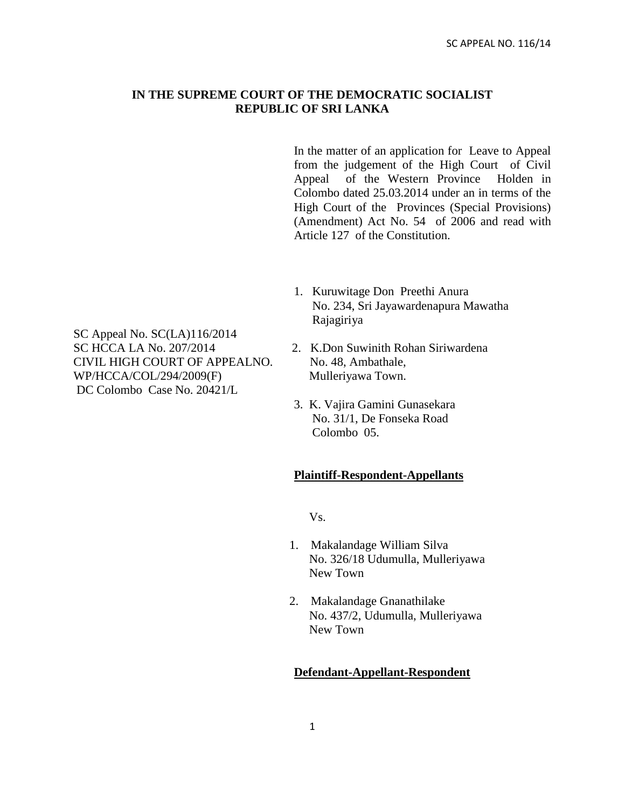## **IN THE SUPREME COURT OF THE DEMOCRATIC SOCIALIST REPUBLIC OF SRI LANKA**

In the matter of an application for Leave to Appeal from the judgement of the High Court of Civil Appeal of the Western Province Holden in Colombo dated 25.03.2014 under an in terms of the High Court of the Provinces (Special Provisions) (Amendment) Act No. 54 of 2006 and read with Article 127 of the Constitution.

1. Kuruwitage Don Preethi Anura No. 234, Sri Jayawardenapura Mawatha Rajagiriya

SC Appeal No. SC(LA)116/2014 SC HCCA LA No. 207/2014 2. K.Don Suwinith Rohan Siriwardena CIVIL HIGH COURT OF APPEALNO. No. 48, Ambathale, WP/HCCA/COL/294/2009(F) Mulleriyawa Town. DC Colombo Case No. 20421/L

- 
- 3. K. Vajira Gamini Gunasekara No. 31/1, De Fonseka Road Colombo 05.

## **Plaintiff-Respondent-Appellants**

Vs.

- 1. Makalandage William Silva No. 326/18 Udumulla, Mulleriyawa New Town
- 2. Makalandage Gnanathilake No. 437/2, Udumulla, Mulleriyawa New Town

#### **Defendant-Appellant-Respondent**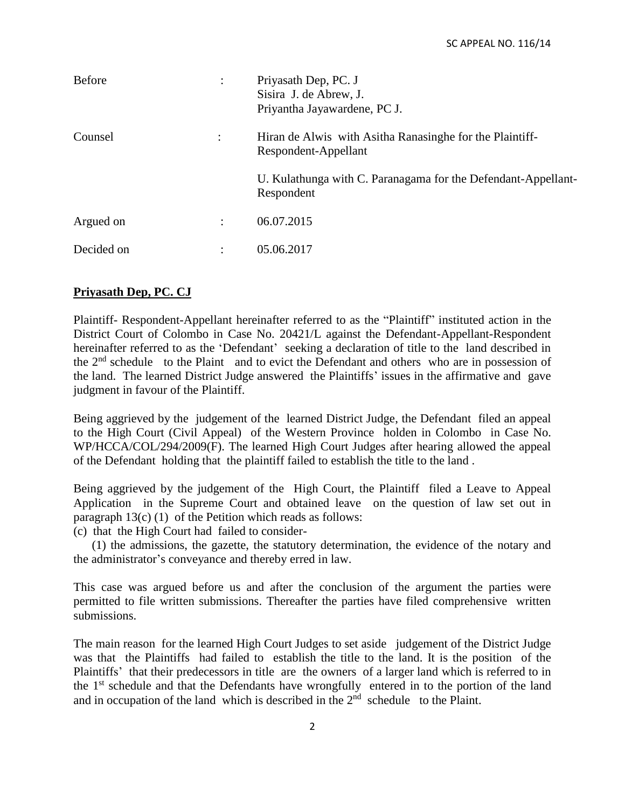| <b>Before</b> |                      | Priyasath Dep, PC. J<br>Sisira J. de Abrew, J.<br>Priyantha Jayawardene, PC J.   |
|---------------|----------------------|----------------------------------------------------------------------------------|
| Counsel       | ÷                    | Hiran de Alwis with Asitha Ranasinghe for the Plaintiff-<br>Respondent-Appellant |
|               |                      | U. Kulathunga with C. Paranagama for the Defendant-Appellant-<br>Respondent      |
| Argued on     | $\ddot{\phantom{a}}$ | 06.07.2015                                                                       |
| Decided on    | ٠                    | 05.06.2017                                                                       |

## **Priyasath Dep, PC. CJ**

Plaintiff- Respondent-Appellant hereinafter referred to as the "Plaintiff" instituted action in the District Court of Colombo in Case No. 20421/L against the Defendant-Appellant-Respondent hereinafter referred to as the 'Defendant' seeking a declaration of title to the land described in the  $2<sup>nd</sup>$  schedule to the Plaint and to evict the Defendant and others who are in possession of the land. The learned District Judge answered the Plaintiffs' issues in the affirmative and gave judgment in favour of the Plaintiff.

Being aggrieved by the judgement of the learned District Judge, the Defendant filed an appeal to the High Court (Civil Appeal) of the Western Province holden in Colombo in Case No. WP/HCCA/COL/294/2009(F). The learned High Court Judges after hearing allowed the appeal of the Defendant holding that the plaintiff failed to establish the title to the land .

Being aggrieved by the judgement of the High Court, the Plaintiff filed a Leave to Appeal Application in the Supreme Court and obtained leave on the question of law set out in paragraph  $13(c)$  (1) of the Petition which reads as follows:

(c) that the High Court had failed to consider-

 (1) the admissions, the gazette, the statutory determination, the evidence of the notary and the administrator's conveyance and thereby erred in law.

This case was argued before us and after the conclusion of the argument the parties were permitted to file written submissions. Thereafter the parties have filed comprehensive written submissions.

The main reason for the learned High Court Judges to set aside judgement of the District Judge was that the Plaintiffs had failed to establish the title to the land. It is the position of the Plaintiffs' that their predecessors in title are the owners of a larger land which is referred to in the 1<sup>st</sup> schedule and that the Defendants have wrongfully entered in to the portion of the land and in occupation of the land which is described in the  $2<sup>nd</sup>$  schedule to the Plaint.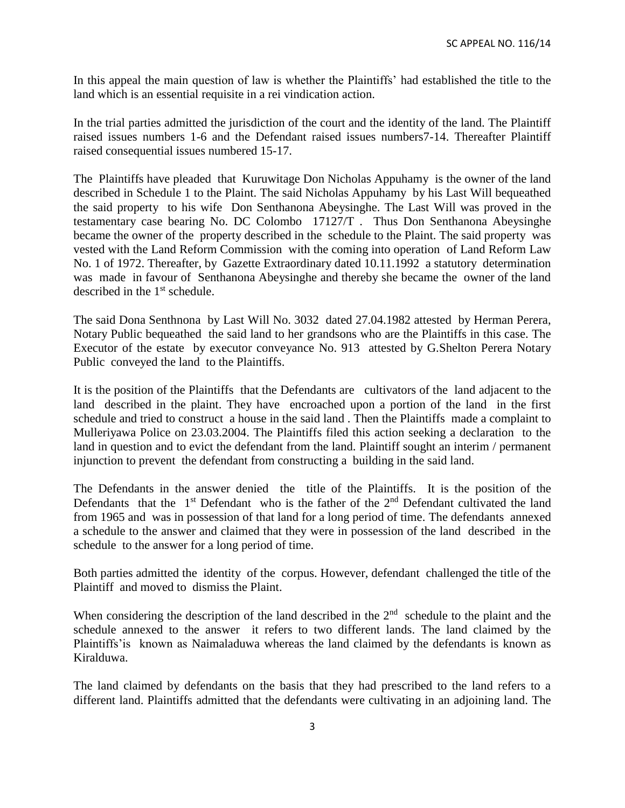In this appeal the main question of law is whether the Plaintiffs' had established the title to the land which is an essential requisite in a rei vindication action.

In the trial parties admitted the jurisdiction of the court and the identity of the land. The Plaintiff raised issues numbers 1-6 and the Defendant raised issues numbers7-14. Thereafter Plaintiff raised consequential issues numbered 15-17.

The Plaintiffs have pleaded that Kuruwitage Don Nicholas Appuhamy is the owner of the land described in Schedule 1 to the Plaint. The said Nicholas Appuhamy by his Last Will bequeathed the said property to his wife Don Senthanona Abeysinghe. The Last Will was proved in the testamentary case bearing No. DC Colombo 17127/T . Thus Don Senthanona Abeysinghe became the owner of the property described in the schedule to the Plaint. The said property was vested with the Land Reform Commission with the coming into operation of Land Reform Law No. 1 of 1972. Thereafter, by Gazette Extraordinary dated 10.11.1992 a statutory determination was made in favour of Senthanona Abeysinghe and thereby she became the owner of the land described in the 1<sup>st</sup> schedule.

The said Dona Senthnona by Last Will No. 3032 dated 27.04.1982 attested by Herman Perera, Notary Public bequeathed the said land to her grandsons who are the Plaintiffs in this case. The Executor of the estate by executor conveyance No. 913 attested by G.Shelton Perera Notary Public conveyed the land to the Plaintiffs.

It is the position of the Plaintiffs that the Defendants are cultivators of the land adjacent to the land described in the plaint. They have encroached upon a portion of the land in the first schedule and tried to construct a house in the said land . Then the Plaintiffs made a complaint to Mulleriyawa Police on 23.03.2004. The Plaintiffs filed this action seeking a declaration to the land in question and to evict the defendant from the land. Plaintiff sought an interim / permanent injunction to prevent the defendant from constructing a building in the said land.

The Defendants in the answer denied the title of the Plaintiffs. It is the position of the Defendants that the  $1<sup>st</sup>$  Defendant who is the father of the  $2<sup>nd</sup>$  Defendant cultivated the land from 1965 and was in possession of that land for a long period of time. The defendants annexed a schedule to the answer and claimed that they were in possession of the land described in the schedule to the answer for a long period of time.

Both parties admitted the identity of the corpus. However, defendant challenged the title of the Plaintiff and moved to dismiss the Plaint.

When considering the description of the land described in the  $2<sup>nd</sup>$  schedule to the plaint and the schedule annexed to the answer it refers to two different lands. The land claimed by the Plaintiffs'is known as Naimaladuwa whereas the land claimed by the defendants is known as Kiralduwa.

The land claimed by defendants on the basis that they had prescribed to the land refers to a different land. Plaintiffs admitted that the defendants were cultivating in an adjoining land. The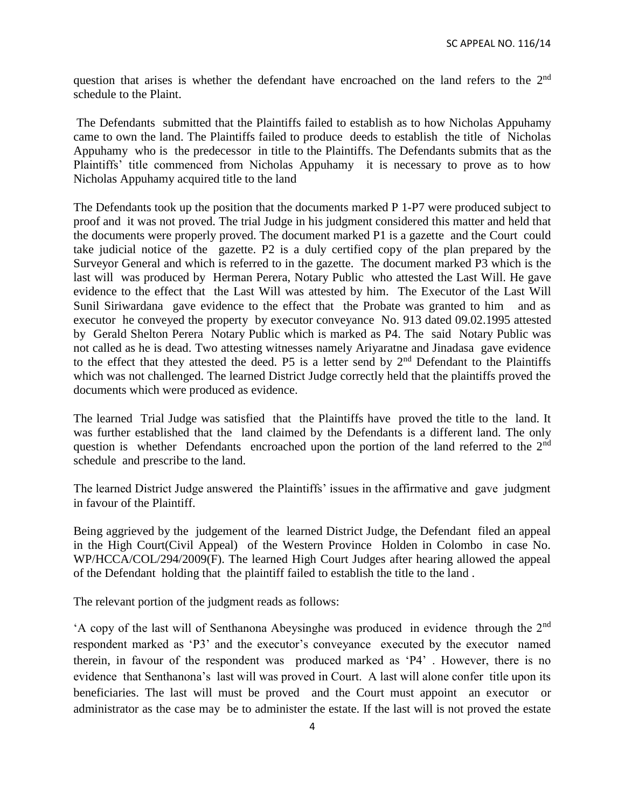question that arises is whether the defendant have encroached on the land refers to the 2<sup>nd</sup> schedule to the Plaint.

The Defendants submitted that the Plaintiffs failed to establish as to how Nicholas Appuhamy came to own the land. The Plaintiffs failed to produce deeds to establish the title of Nicholas Appuhamy who is the predecessor in title to the Plaintiffs. The Defendants submits that as the Plaintiffs' title commenced from Nicholas Appuhamy it is necessary to prove as to how Nicholas Appuhamy acquired title to the land

The Defendants took up the position that the documents marked P 1-P7 were produced subject to proof and it was not proved. The trial Judge in his judgment considered this matter and held that the documents were properly proved. The document marked P1 is a gazette and the Court could take judicial notice of the gazette. P2 is a duly certified copy of the plan prepared by the Surveyor General and which is referred to in the gazette. The document marked P3 which is the last will was produced by Herman Perera, Notary Public who attested the Last Will. He gave evidence to the effect that the Last Will was attested by him. The Executor of the Last Will Sunil Siriwardana gave evidence to the effect that the Probate was granted to him and as executor he conveyed the property by executor conveyance No. 913 dated 09.02.1995 attested by Gerald Shelton Perera Notary Public which is marked as P4. The said Notary Public was not called as he is dead. Two attesting witnesses namely Ariyaratne and Jinadasa gave evidence to the effect that they attested the deed. P5 is a letter send by 2<sup>nd</sup> Defendant to the Plaintiffs which was not challenged. The learned District Judge correctly held that the plaintiffs proved the documents which were produced as evidence.

The learned Trial Judge was satisfied that the Plaintiffs have proved the title to the land. It was further established that the land claimed by the Defendants is a different land. The only question is whether Defendants encroached upon the portion of the land referred to the 2<sup>nd</sup> schedule and prescribe to the land.

The learned District Judge answered the Plaintiffs' issues in the affirmative and gave judgment in favour of the Plaintiff.

Being aggrieved by the judgement of the learned District Judge, the Defendant filed an appeal in the High Court(Civil Appeal) of the Western Province Holden in Colombo in case No. WP/HCCA/COL/294/2009(F). The learned High Court Judges after hearing allowed the appeal of the Defendant holding that the plaintiff failed to establish the title to the land .

The relevant portion of the judgment reads as follows:

'A copy of the last will of Senthanona Abeysinghe was produced in evidence through the 2nd respondent marked as 'P3' and the executor's conveyance executed by the executor named therein, in favour of the respondent was produced marked as 'P4' . However, there is no evidence that Senthanona's last will was proved in Court. A last will alone confer title upon its beneficiaries. The last will must be proved and the Court must appoint an executor or administrator as the case may be to administer the estate. If the last will is not proved the estate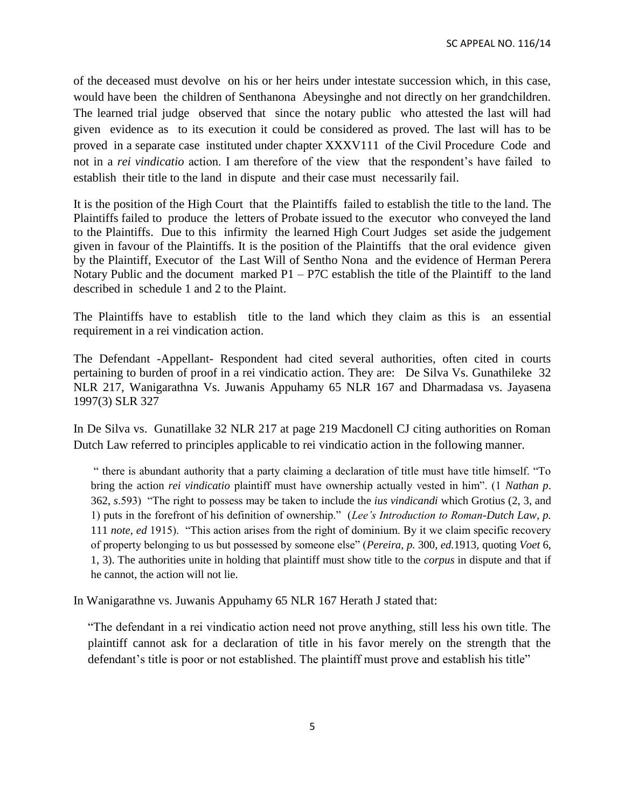of the deceased must devolve on his or her heirs under intestate succession which, in this case, would have been the children of Senthanona Abeysinghe and not directly on her grandchildren. The learned trial judge observed that since the notary public who attested the last will had given evidence as to its execution it could be considered as proved. The last will has to be proved in a separate case instituted under chapter XXXV111 of the Civil Procedure Code and not in a *rei vindicatio* action. I am therefore of the view that the respondent's have failed to establish their title to the land in dispute and their case must necessarily fail.

It is the position of the High Court that the Plaintiffs failed to establish the title to the land. The Plaintiffs failed to produce the letters of Probate issued to the executor who conveyed the land to the Plaintiffs. Due to this infirmity the learned High Court Judges set aside the judgement given in favour of the Plaintiffs. It is the position of the Plaintiffs that the oral evidence given by the Plaintiff, Executor of the Last Will of Sentho Nona and the evidence of Herman Perera Notary Public and the document marked  $P1 - P7C$  establish the title of the Plaintiff to the land described in schedule 1 and 2 to the Plaint.

The Plaintiffs have to establish title to the land which they claim as this is an essential requirement in a rei vindication action.

The Defendant -Appellant- Respondent had cited several authorities, often cited in courts pertaining to burden of proof in a rei vindicatio action. They are: De Silva Vs. Gunathileke 32 NLR 217, Wanigarathna Vs. Juwanis Appuhamy 65 NLR 167 and Dharmadasa vs. Jayasena 1997(3) SLR 327

In De Silva vs. Gunatillake 32 NLR 217 at page 219 Macdonell CJ citing authorities on Roman Dutch Law referred to principles applicable to rei vindicatio action in the following manner.

" there is abundant authority that a party claiming a declaration of title must have title himself. "To bring the action *rei vindicatio* plaintiff must have ownership actually vested in him". (1 *Nathan p*. 362, *s*.593) "The right to possess may be taken to include the *ius vindicandi* which Grotius (2, 3, and 1) puts in the forefront of his definition of ownership." (*Lee's Introduction to Roman-Dutch Law, p.*  111 *note, ed* 1915). "This action arises from the right of dominium. By it we claim specific recovery of property belonging to us but possessed by someone else" (*Pereira, p.* 300, *ed.*1913, quoting *Voet* 6, 1, 3). The authorities unite in holding that plaintiff must show title to the *corpus* in dispute and that if he cannot, the action will not lie.

In Wanigarathne vs. Juwanis Appuhamy 65 NLR 167 Herath J stated that:

"The defendant in a rei vindicatio action need not prove anything, still less his own title. The plaintiff cannot ask for a declaration of title in his favor merely on the strength that the defendant's title is poor or not established. The plaintiff must prove and establish his title"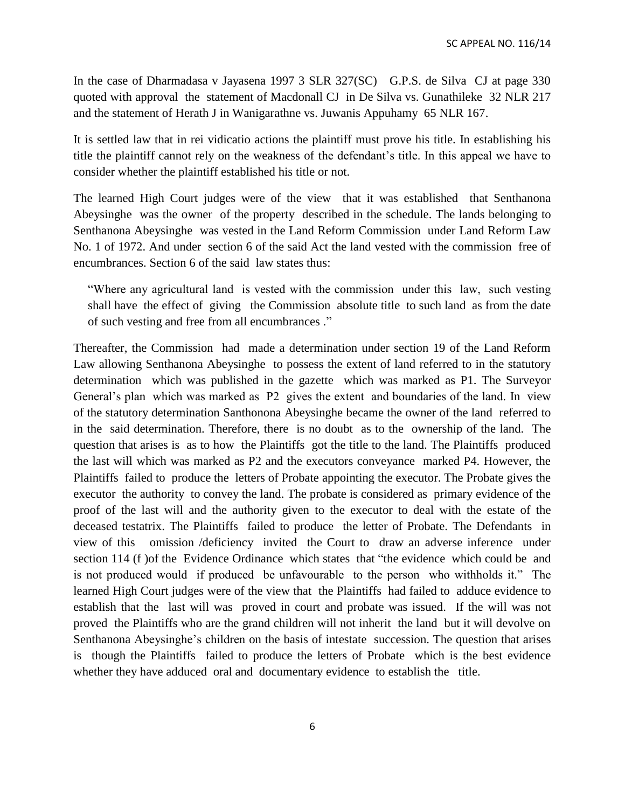In the case of Dharmadasa v Jayasena 1997 3 SLR 327(SC) G.P.S. de Silva CJ at page 330 quoted with approval the statement of Macdonall CJ in De Silva vs. Gunathileke 32 NLR 217 and the statement of Herath J in Wanigarathne vs. Juwanis Appuhamy 65 NLR 167.

It is settled law that in rei vidicatio actions the plaintiff must prove his title. In establishing his title the plaintiff cannot rely on the weakness of the defendant's title. In this appeal we have to consider whether the plaintiff established his title or not.

The learned High Court judges were of the view that it was established that Senthanona Abeysinghe was the owner of the property described in the schedule. The lands belonging to Senthanona Abeysinghe was vested in the Land Reform Commission under Land Reform Law No. 1 of 1972. And under section 6 of the said Act the land vested with the commission free of encumbrances. Section 6 of the said law states thus:

"Where any agricultural land is vested with the commission under this law, such vesting shall have the effect of giving the Commission absolute title to such land as from the date of such vesting and free from all encumbrances ."

Thereafter, the Commission had made a determination under section 19 of the Land Reform Law allowing Senthanona Abeysinghe to possess the extent of land referred to in the statutory determination which was published in the gazette which was marked as P1. The Surveyor General's plan which was marked as P2 gives the extent and boundaries of the land. In view of the statutory determination Santhonona Abeysinghe became the owner of the land referred to in the said determination. Therefore, there is no doubt as to the ownership of the land. The question that arises is as to how the Plaintiffs got the title to the land. The Plaintiffs produced the last will which was marked as P2 and the executors conveyance marked P4. However, the Plaintiffs failed to produce the letters of Probate appointing the executor. The Probate gives the executor the authority to convey the land. The probate is considered as primary evidence of the proof of the last will and the authority given to the executor to deal with the estate of the deceased testatrix. The Plaintiffs failed to produce the letter of Probate. The Defendants in view of this omission /deficiency invited the Court to draw an adverse inference under section 114 (f )of the Evidence Ordinance which states that "the evidence which could be and is not produced would if produced be unfavourable to the person who withholds it." The learned High Court judges were of the view that the Plaintiffs had failed to adduce evidence to establish that the last will was proved in court and probate was issued. If the will was not proved the Plaintiffs who are the grand children will not inherit the land but it will devolve on Senthanona Abeysinghe's children on the basis of intestate succession. The question that arises is though the Plaintiffs failed to produce the letters of Probate which is the best evidence whether they have adduced oral and documentary evidence to establish the title.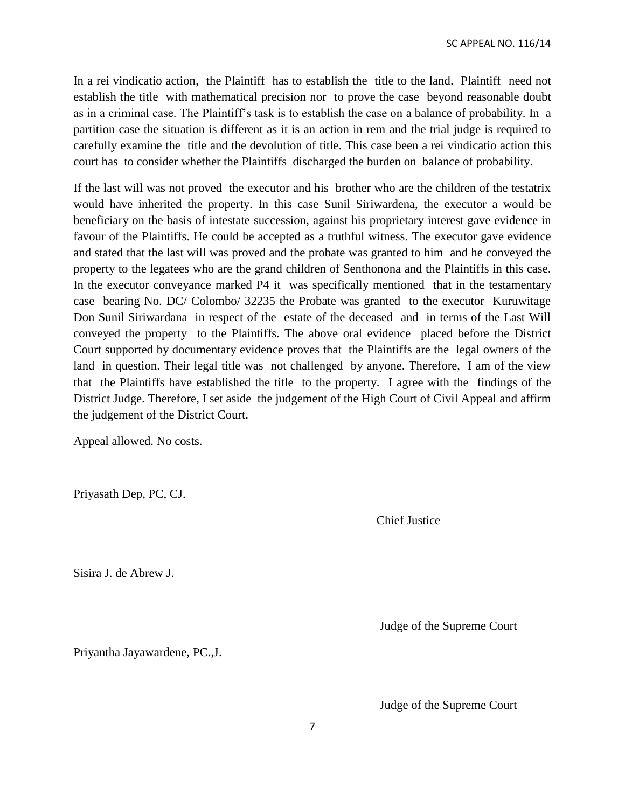In a rei vindicatio action, the Plaintiff has to establish the title to the land. Plaintiff need not establish the title with mathematical precision nor to prove the case beyond reasonable doubt as in a criminal case. The Plaintiff's task is to establish the case on a balance of probability. In a partition case the situation is different as it is an action in rem and the trial judge is required to carefully examine the title and the devolution of title. This case been a rei vindicatio action this court has to consider whether the Plaintiffs discharged the burden on balance of probability.

If the last will was not proved the executor and his brother who are the children of the testatrix would have inherited the property. In this case Sunil Siriwardena, the executor a would be beneficiary on the basis of intestate succession, against his proprietary interest gave evidence in favour of the Plaintiffs. He could be accepted as a truthful witness. The executor gave evidence and stated that the last will was proved and the probate was granted to him and he conveyed the property to the legatees who are the grand children of Senthonona and the Plaintiffs in this case. In the executor conveyance marked P4 it was specifically mentioned that in the testamentary case bearing No. DC/ Colombo/ 32235 the Probate was granted to the executor Kuruwitage Don Sunil Siriwardana in respect of the estate of the deceased and in terms of the Last Will conveyed the property to the Plaintiffs. The above oral evidence placed before the District Court supported by documentary evidence proves that the Plaintiffs are the legal owners of the land in question. Their legal title was not challenged by anyone. Therefore, I am of the view that the Plaintiffs have established the title to the property. I agree with the findings of the District Judge. Therefore, I set aside the judgement of the High Court of Civil Appeal and affirm the judgement of the District Court.

Appeal allowed. No costs.

Priyasath Dep, PC, CJ.

Chief Justice

Sisira J. de Abrew J.

Judge of the Supreme Court

Priyantha Jayawardene, PC.,J.

Judge of the Supreme Court